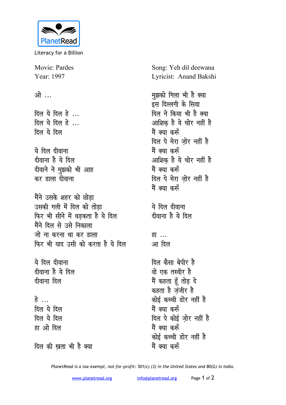

Literacy for a Billion

Movie: Pardes Year: 1997

ओ …

दिल ये दिल हे... दिल ये दिल हे... दिल ये दिल

ये दिल दीवाना दीवाना है ये दिल दीवाने ने मुझको भी आह कर डाला दीवाना

मैंने उसके शहर को छोडा उसकी गली में दिल को तोडा फिर भी सीने में धडकता है ये दिल मैंने दिल से उसे निकाला जो ना करना था कर डाला फिर भी याद उसी को करता है ये दिल

ये दिल दीवाना दीवाना है ये दिल दीवाना दिल

हे … दिल ये दिल दिल ये दिल हा ओे दिल

दिल की खता भी है क्या

Song: Yeh dil deewana Lyricist: Anand Bakshi

मुझको गिला भी है क्या इस दिल्लगी के सिवा दिल ने किया भी है क्या आशिक है ये चोर नहीं है मैं क्या करूँ दिल पे मेरा ज़ोर नहीं है मैं क्या करूँ आशिक है ये चोर नहीं है मैं क्या करूँ दिल पे मेरा जोर नहीं है मैं क्या करूँ ये दिल दीवाना दीवाना है ये दिल

हा ... आ दिल

दिल कैसा बेपीर है वो एक तस्वीर है मैं कहता हूँ तोड़ दे कहता है जंजीर है कोई कच्ची डोर नहीं है मैं क्या करूँ दिल पे कोई जोर नहीं है मैं क्या करूँ कोई कच्ची डोर नहीं है मैं क्या करूँ

PlanetRead is a tax-exempt, not-for-profit: 501(c) (3) in the United States and 80(G) in India.